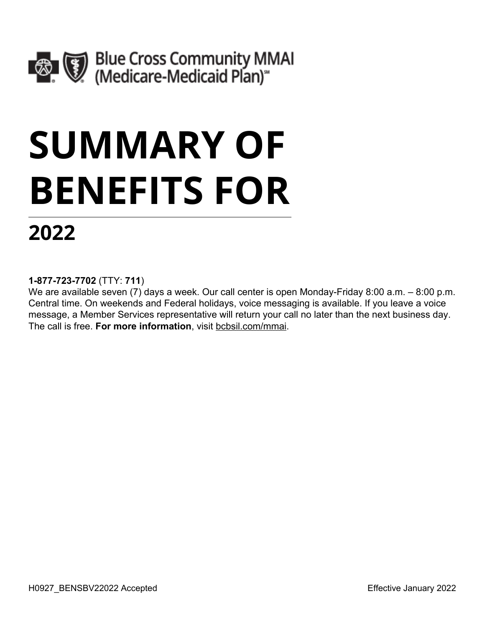

# **SUMMARY OF BENEFITS FOR**

## **2022**

**1-877-723-7702** (TTY: **711**)

We are available seven (7) days a week. Our call center is open Monday-Friday 8:00 a.m. - 8:00 p.m. Central time. On weekends and Federal holidays, voice messaging is available. If you leave a voice message, a Member Services representative will return your call no later than the next business day. The call is free. **For more information**, visit [bcbsil.com/mmai.](https://www.bcbsil.com/mmai)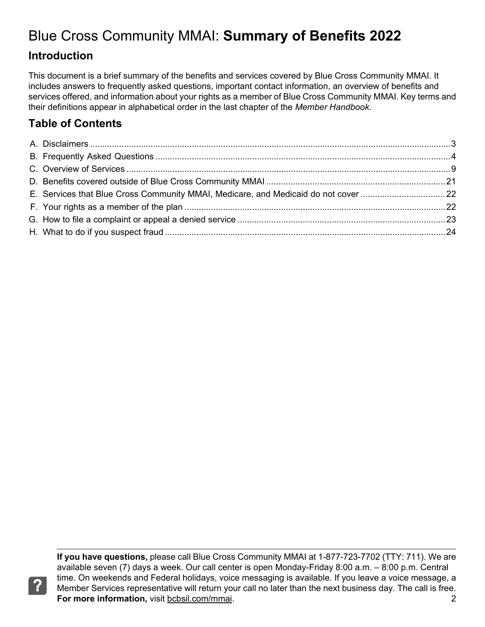#### **Introduction**

?

This document is a brief summary of the benefits and services covered by Blue Cross Community MMAI. It includes answers to frequently asked questions, important contact information, an overview of benefits and services offered, and information about your rights as a member of Blue Cross Community MMAI. Key terms and their definitions appear in alphabetical order in the last chapter of the *Member Handbook*.

#### **Table of Contents**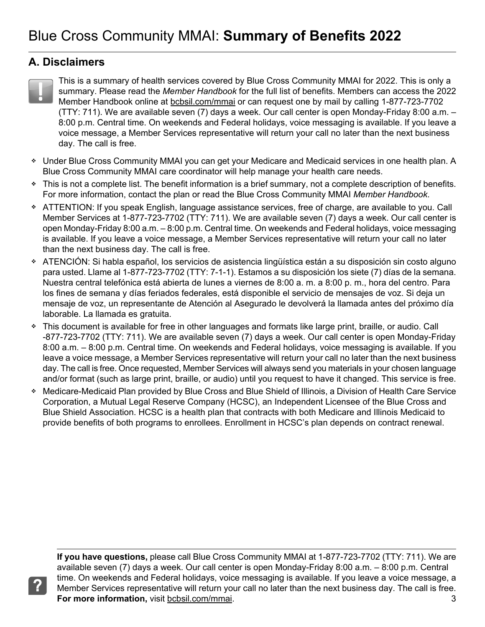#### <span id="page-2-0"></span>**A. Disclaimers**

?

This is a summary of health services covered by Blue Cross Community MMAI for 2022. This is only a summary. Please read the *Member Handbook* for the full list of benefits. Members can access the 2022 Member Handbook online at [bcbsil.com/mmai](https://www.bcbsil.com/mmai) or can request one by mail by calling 1-877-723-7702 (TTY: 711). We are available seven (7) days a week. Our call center is open Monday-Friday 8:00 a.m. – 8:00 p.m. Central time. On weekends and Federal holidays, voice messaging is available. If you leave a voice message, a Member Services representative will return your call no later than the next business day. The call is free.

- Under Blue Cross Community MMAI you can get your Medicare and Medicaid services in one health plan. A Blue Cross Community MMAI care coordinator will help manage your health care needs.
- This is not a complete list. The benefit information is a brief summary, not a complete description of benefits. For more information, contact the plan or read the Blue Cross Community MMAI *Member Handbook*.
- ATTENTION: If you speak English, language assistance services, free of charge, are available to you. Call Member Services at 1-877-723-7702 (TTY: 711). We are available seven (7) days a week. Our call center is open Monday-Friday 8:00 a.m. – 8:00 p.m. Central time. On weekends and Federal holidays, voice messaging is available. If you leave a voice message, a Member Services representative will return your call no later than the next business day. The call is free.
- ATENCIÓN: Si habla español, los servicios de asistencia lingüística están a su disposición sin costo alguno para usted. Llame al 1-877-723-7702 (TTY: 7-1-1). Estamos a su disposición los siete (7) días de la semana. Nuestra central telefónica está abierta de lunes a viernes de 8:00 a. m. a 8:00 p. m., hora del centro. Para los fines de semana y días feriados federales, está disponible el servicio de mensajes de voz. Si deja un mensaje de voz, un representante de Atención al Asegurado le devolverá la llamada antes del próximo día laborable. La llamada es gratuita.
- This document is available for free in other languages and formats like large print, braille, or audio. Call -877-723-7702 (TTY: 711). We are available seven (7) days a week. Our call center is open Monday-Friday 8:00 a.m. – 8:00 p.m. Central time. On weekends and Federal holidays, voice messaging is available. If you leave a voice message, a Member Services representative will return your call no later than the next business day. The call is free. Once requested, Member Services will always send you materials in your chosen language and/or format (such as large print, braille, or audio) until you request to have it changed. This service is free.
- $\Phi_{\rm{eff}}$ Medicare-Medicaid Plan provided by Blue Cross and Blue Shield of Illinois, a Division of Health Care Service Corporation, a Mutual Legal Reserve Company (HCSC), an Independent Licensee of the Blue Cross and Blue Shield Association. HCSC is a health plan that contracts with both Medicare and Illinois Medicaid to provide benefits of both programs to enrollees. Enrollment in HCSC's plan depends on contract renewal.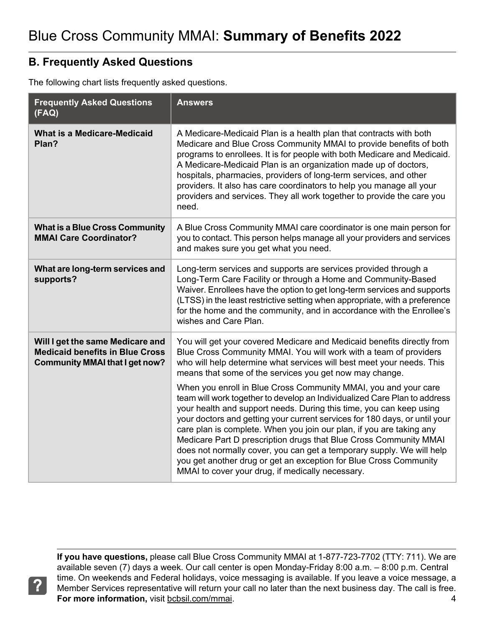#### <span id="page-3-0"></span>**B. Frequently Asked Questions**

?

The following chart lists frequently asked questions.

| <b>Frequently Asked Questions</b><br>(FAQ)                                                                          | <b>Answers</b>                                                                                                                                                                                                                                                                                                                                                                                                                                                                                                                                                                                                                                   |
|---------------------------------------------------------------------------------------------------------------------|--------------------------------------------------------------------------------------------------------------------------------------------------------------------------------------------------------------------------------------------------------------------------------------------------------------------------------------------------------------------------------------------------------------------------------------------------------------------------------------------------------------------------------------------------------------------------------------------------------------------------------------------------|
| <b>What is a Medicare-Medicaid</b><br>Plan?                                                                         | A Medicare-Medicaid Plan is a health plan that contracts with both<br>Medicare and Blue Cross Community MMAI to provide benefits of both<br>programs to enrollees. It is for people with both Medicare and Medicaid.<br>A Medicare-Medicaid Plan is an organization made up of doctors,<br>hospitals, pharmacies, providers of long-term services, and other<br>providers. It also has care coordinators to help you manage all your<br>providers and services. They all work together to provide the care you<br>need.                                                                                                                          |
| <b>What is a Blue Cross Community</b><br><b>MMAI Care Coordinator?</b>                                              | A Blue Cross Community MMAI care coordinator is one main person for<br>you to contact. This person helps manage all your providers and services<br>and makes sure you get what you need.                                                                                                                                                                                                                                                                                                                                                                                                                                                         |
| What are long-term services and<br>supports?                                                                        | Long-term services and supports are services provided through a<br>Long-Term Care Facility or through a Home and Community-Based<br>Waiver. Enrollees have the option to get long-term services and supports<br>(LTSS) in the least restrictive setting when appropriate, with a preference<br>for the home and the community, and in accordance with the Enrollee's<br>wishes and Care Plan.                                                                                                                                                                                                                                                    |
| Will I get the same Medicare and<br><b>Medicaid benefits in Blue Cross</b><br><b>Community MMAI that I get now?</b> | You will get your covered Medicare and Medicaid benefits directly from<br>Blue Cross Community MMAI. You will work with a team of providers<br>who will help determine what services will best meet your needs. This<br>means that some of the services you get now may change.                                                                                                                                                                                                                                                                                                                                                                  |
|                                                                                                                     | When you enroll in Blue Cross Community MMAI, you and your care<br>team will work together to develop an Individualized Care Plan to address<br>your health and support needs. During this time, you can keep using<br>your doctors and getting your current services for 180 days, or until your<br>care plan is complete. When you join our plan, if you are taking any<br>Medicare Part D prescription drugs that Blue Cross Community MMAI<br>does not normally cover, you can get a temporary supply. We will help<br>you get another drug or get an exception for Blue Cross Community<br>MMAI to cover your drug, if medically necessary. |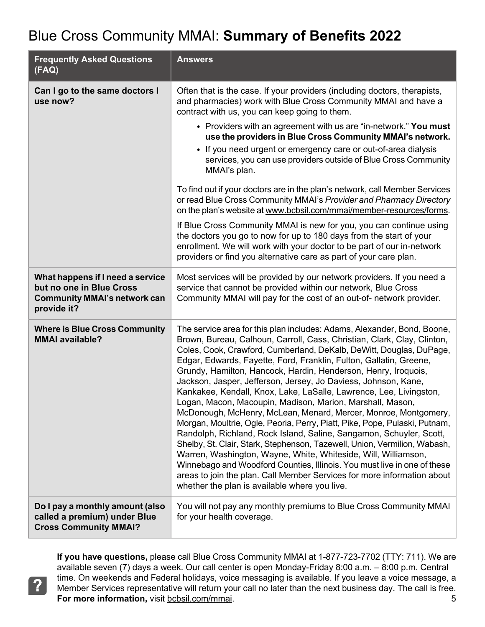| <b>Frequently Asked Questions</b><br>(FAQ)                                                                         | <b>Answers</b>                                                                                                                                                                                                                                                                                                                                                                                                                                                                                                                                                                                                                                                                                                                                                                                                                                                                                                                                                                                                                                                                                                                                        |  |  |
|--------------------------------------------------------------------------------------------------------------------|-------------------------------------------------------------------------------------------------------------------------------------------------------------------------------------------------------------------------------------------------------------------------------------------------------------------------------------------------------------------------------------------------------------------------------------------------------------------------------------------------------------------------------------------------------------------------------------------------------------------------------------------------------------------------------------------------------------------------------------------------------------------------------------------------------------------------------------------------------------------------------------------------------------------------------------------------------------------------------------------------------------------------------------------------------------------------------------------------------------------------------------------------------|--|--|
| Can I go to the same doctors I<br>use now?                                                                         | Often that is the case. If your providers (including doctors, therapists,<br>and pharmacies) work with Blue Cross Community MMAI and have a<br>contract with us, you can keep going to them.                                                                                                                                                                                                                                                                                                                                                                                                                                                                                                                                                                                                                                                                                                                                                                                                                                                                                                                                                          |  |  |
|                                                                                                                    | • Providers with an agreement with us are "in-network." You must<br>use the providers in Blue Cross Community MMAI's network.                                                                                                                                                                                                                                                                                                                                                                                                                                                                                                                                                                                                                                                                                                                                                                                                                                                                                                                                                                                                                         |  |  |
|                                                                                                                    | • If you need urgent or emergency care or out-of-area dialysis<br>services, you can use providers outside of Blue Cross Community<br>MMAI's plan.                                                                                                                                                                                                                                                                                                                                                                                                                                                                                                                                                                                                                                                                                                                                                                                                                                                                                                                                                                                                     |  |  |
|                                                                                                                    | To find out if your doctors are in the plan's network, call Member Services<br>or read Blue Cross Community MMAI's Provider and Pharmacy Directory<br>on the plan's website at www.bcbsil.com/mmai/member-resources/forms.                                                                                                                                                                                                                                                                                                                                                                                                                                                                                                                                                                                                                                                                                                                                                                                                                                                                                                                            |  |  |
|                                                                                                                    | If Blue Cross Community MMAI is new for you, you can continue using<br>the doctors you go to now for up to 180 days from the start of your<br>enrollment. We will work with your doctor to be part of our in-network<br>providers or find you alternative care as part of your care plan.                                                                                                                                                                                                                                                                                                                                                                                                                                                                                                                                                                                                                                                                                                                                                                                                                                                             |  |  |
| What happens if I need a service<br>but no one in Blue Cross<br><b>Community MMAI's network can</b><br>provide it? | Most services will be provided by our network providers. If you need a<br>service that cannot be provided within our network, Blue Cross<br>Community MMAI will pay for the cost of an out-of- network provider.                                                                                                                                                                                                                                                                                                                                                                                                                                                                                                                                                                                                                                                                                                                                                                                                                                                                                                                                      |  |  |
| <b>Where is Blue Cross Community</b><br><b>MMAI</b> available?                                                     | The service area for this plan includes: Adams, Alexander, Bond, Boone,<br>Brown, Bureau, Calhoun, Carroll, Cass, Christian, Clark, Clay, Clinton,<br>Coles, Cook, Crawford, Cumberland, DeKalb, DeWitt, Douglas, DuPage,<br>Edgar, Edwards, Fayette, Ford, Franklin, Fulton, Gallatin, Greene,<br>Grundy, Hamilton, Hancock, Hardin, Henderson, Henry, Iroquois,<br>Jackson, Jasper, Jefferson, Jersey, Jo Daviess, Johnson, Kane,<br>Kankakee, Kendall, Knox, Lake, LaSalle, Lawrence, Lee, Livingston,<br>Logan, Macon, Macoupin, Madison, Marion, Marshall, Mason,<br>McDonough, McHenry, McLean, Menard, Mercer, Monroe, Montgomery,<br>Morgan, Moultrie, Ogle, Peoria, Perry, Piatt, Pike, Pope, Pulaski, Putnam,<br>Randolph, Richland, Rock Island, Saline, Sangamon, Schuyler, Scott,<br>Shelby, St. Clair, Stark, Stephenson, Tazewell, Union, Vermilion, Wabash,<br>Warren, Washington, Wayne, White, Whiteside, Will, Williamson,<br>Winnebago and Woodford Counties, Illinois. You must live in one of these<br>areas to join the plan. Call Member Services for more information about<br>whether the plan is available where you live. |  |  |
| Do I pay a monthly amount (also<br>called a premium) under Blue<br><b>Cross Community MMAI?</b>                    | You will not pay any monthly premiums to Blue Cross Community MMAI<br>for your health coverage.                                                                                                                                                                                                                                                                                                                                                                                                                                                                                                                                                                                                                                                                                                                                                                                                                                                                                                                                                                                                                                                       |  |  |

**If you have questions,** please call Blue Cross Community MMAI at 1-877-723-7702 (TTY: 711). We are available seven (7) days a week. Our call center is open Monday-Friday 8:00 a.m. – 8:00 p.m. Central time. On weekends and Federal holidays, voice messaging is available. If you leave a voice message, a Member Services representative will return your call no later than the next business day. The call is free. **For more information,** visit [bcbsil.com/mmai](https://www.bcbsil.com/mmai). 5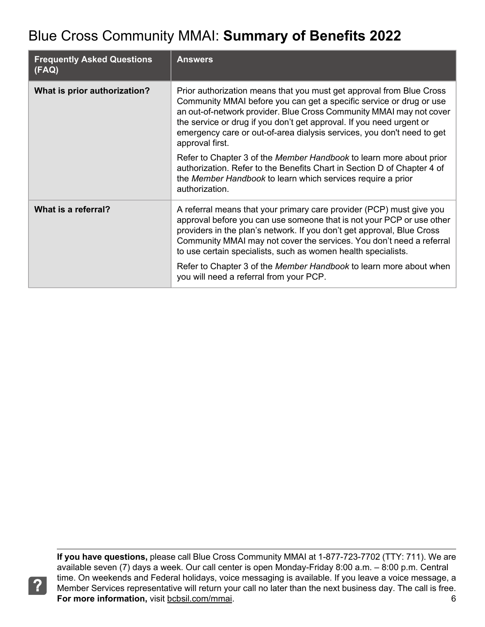| <b>Frequently Asked Questions</b><br>(FAQ) | <b>Answers</b>                                                                                                                                                                                                                                                                                                                                                                                                                                                                    |
|--------------------------------------------|-----------------------------------------------------------------------------------------------------------------------------------------------------------------------------------------------------------------------------------------------------------------------------------------------------------------------------------------------------------------------------------------------------------------------------------------------------------------------------------|
| What is prior authorization?               | Prior authorization means that you must get approval from Blue Cross<br>Community MMAI before you can get a specific service or drug or use<br>an out-of-network provider. Blue Cross Community MMAI may not cover<br>the service or drug if you don't get approval. If you need urgent or<br>emergency care or out-of-area dialysis services, you don't need to get<br>approval first.                                                                                           |
|                                            | Refer to Chapter 3 of the Member Handbook to learn more about prior<br>authorization. Refer to the Benefits Chart in Section D of Chapter 4 of<br>the Member Handbook to learn which services require a prior<br>authorization.                                                                                                                                                                                                                                                   |
| What is a referral?                        | A referral means that your primary care provider (PCP) must give you<br>approval before you can use someone that is not your PCP or use other<br>providers in the plan's network. If you don't get approval, Blue Cross<br>Community MMAI may not cover the services. You don't need a referral<br>to use certain specialists, such as women health specialists.<br>Refer to Chapter 3 of the Member Handbook to learn more about when<br>you will need a referral from your PCP. |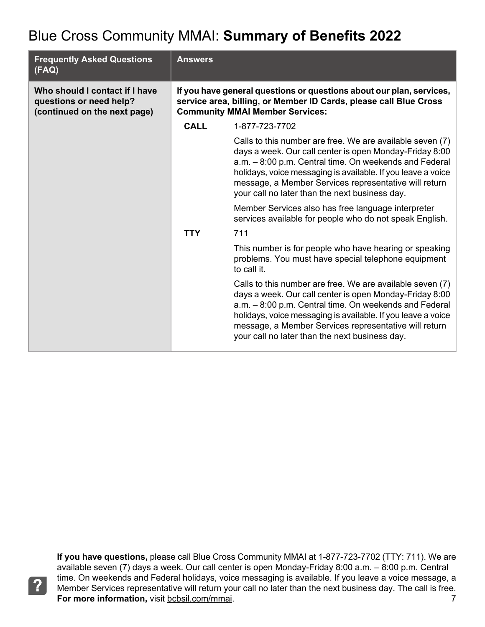| <b>Frequently Asked Questions</b><br>(FAQ)                                                | <b>Answers</b>                                                                                                                                                                      |                                                                                                                                                                                                                                                                                                                                                           |
|-------------------------------------------------------------------------------------------|-------------------------------------------------------------------------------------------------------------------------------------------------------------------------------------|-----------------------------------------------------------------------------------------------------------------------------------------------------------------------------------------------------------------------------------------------------------------------------------------------------------------------------------------------------------|
| Who should I contact if I have<br>questions or need help?<br>(continued on the next page) | If you have general questions or questions about our plan, services,<br>service area, billing, or Member ID Cards, please call Blue Cross<br><b>Community MMAI Member Services:</b> |                                                                                                                                                                                                                                                                                                                                                           |
|                                                                                           | <b>CALL</b>                                                                                                                                                                         | 1-877-723-7702                                                                                                                                                                                                                                                                                                                                            |
|                                                                                           |                                                                                                                                                                                     | Calls to this number are free. We are available seven (7)<br>days a week. Our call center is open Monday-Friday 8:00<br>a.m. - 8:00 p.m. Central time. On weekends and Federal<br>holidays, voice messaging is available. If you leave a voice<br>message, a Member Services representative will return<br>your call no later than the next business day. |
|                                                                                           |                                                                                                                                                                                     | Member Services also has free language interpreter<br>services available for people who do not speak English.                                                                                                                                                                                                                                             |
|                                                                                           | <b>TTY</b>                                                                                                                                                                          | 711                                                                                                                                                                                                                                                                                                                                                       |
|                                                                                           |                                                                                                                                                                                     | This number is for people who have hearing or speaking<br>problems. You must have special telephone equipment<br>to call it.                                                                                                                                                                                                                              |
|                                                                                           |                                                                                                                                                                                     | Calls to this number are free. We are available seven (7)<br>days a week. Our call center is open Monday-Friday 8:00<br>a.m. - 8:00 p.m. Central time. On weekends and Federal<br>holidays, voice messaging is available. If you leave a voice<br>message, a Member Services representative will return<br>your call no later than the next business day. |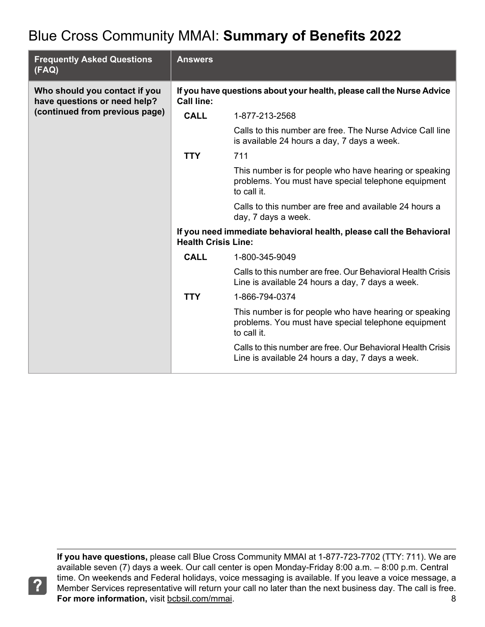| <b>Frequently Asked Questions</b><br>(FAQ)                    | <b>Answers</b>                                                                                    |                                                                                                                              |  |
|---------------------------------------------------------------|---------------------------------------------------------------------------------------------------|------------------------------------------------------------------------------------------------------------------------------|--|
| Who should you contact if you<br>have questions or need help? | If you have questions about your health, please call the Nurse Advice<br><b>Call line:</b>        |                                                                                                                              |  |
| (continued from previous page)                                | <b>CALL</b>                                                                                       | 1-877-213-2568                                                                                                               |  |
|                                                               |                                                                                                   | Calls to this number are free. The Nurse Advice Call line<br>is available 24 hours a day, 7 days a week.                     |  |
|                                                               | <b>TTY</b>                                                                                        | 711                                                                                                                          |  |
|                                                               |                                                                                                   | This number is for people who have hearing or speaking<br>problems. You must have special telephone equipment<br>to call it. |  |
|                                                               |                                                                                                   | Calls to this number are free and available 24 hours a<br>day, 7 days a week.                                                |  |
|                                                               | If you need immediate behavioral health, please call the Behavioral<br><b>Health Crisis Line:</b> |                                                                                                                              |  |
|                                                               | <b>CALL</b>                                                                                       | 1-800-345-9049                                                                                                               |  |
|                                                               |                                                                                                   | Calls to this number are free. Our Behavioral Health Crisis<br>Line is available 24 hours a day, 7 days a week.              |  |
|                                                               | <b>TTY</b>                                                                                        | 1-866-794-0374                                                                                                               |  |
|                                                               |                                                                                                   | This number is for people who have hearing or speaking<br>problems. You must have special telephone equipment<br>to call it. |  |
|                                                               |                                                                                                   | Calls to this number are free. Our Behavioral Health Crisis<br>Line is available 24 hours a day, 7 days a week.              |  |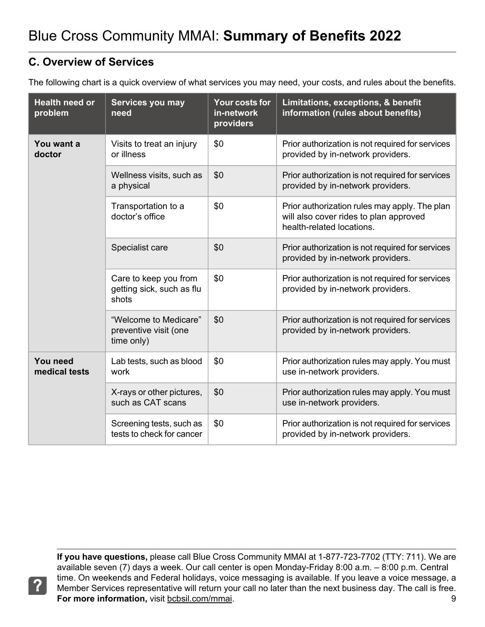#### <span id="page-8-0"></span>**C. Overview of Services**

 $|?|$ 

|  | The following chart is a quick overview of what services you may need, your costs, and rules about the benefits. |
|--|------------------------------------------------------------------------------------------------------------------|
|  |                                                                                                                  |

| <b>Health need or</b><br>problem | Services you may<br>need                                     | Your costs for<br>in-network<br>providers | Limitations, exceptions, & benefit<br>information (rules about benefits)                                             |
|----------------------------------|--------------------------------------------------------------|-------------------------------------------|----------------------------------------------------------------------------------------------------------------------|
| You want a<br>doctor             | Visits to treat an injury<br>or illness                      | \$0                                       | Prior authorization is not required for services<br>provided by in-network providers.                                |
|                                  | Wellness visits, such as<br>a physical                       | \$0                                       | Prior authorization is not required for services<br>provided by in-network providers.                                |
|                                  | Transportation to a<br>doctor's office                       | \$0                                       | Prior authorization rules may apply. The plan<br>will also cover rides to plan approved<br>health-related locations. |
|                                  | Specialist care                                              | \$0                                       | Prior authorization is not required for services<br>provided by in-network providers.                                |
|                                  | Care to keep you from<br>getting sick, such as flu<br>shots  | \$0                                       | Prior authorization is not required for services<br>provided by in-network providers.                                |
|                                  | "Welcome to Medicare"<br>preventive visit (one<br>time only) | \$0                                       | Prior authorization is not required for services<br>provided by in-network providers.                                |
| You need<br>medical tests        | Lab tests, such as blood<br>work                             | \$0                                       | Prior authorization rules may apply. You must<br>use in-network providers.                                           |
|                                  | X-rays or other pictures,<br>such as CAT scans               | \$0                                       | Prior authorization rules may apply. You must<br>use in-network providers.                                           |
|                                  | Screening tests, such as<br>tests to check for cancer        | \$0                                       | Prior authorization is not required for services<br>provided by in-network providers.                                |

**If you have questions,** please call Blue Cross Community MMAI at 1-877-723-7702 (TTY: 711). We are available seven (7) days a week. Our call center is open Monday-Friday 8:00 a.m. – 8:00 p.m. Central time. On weekends and Federal holidays, voice messaging is available. If you leave a voice message, a Member Services representative will return your call no later than the next business day. The call is free. **For more information,** visit [bcbsil.com/mmai](https://www.bcbsil.com/mmai). 9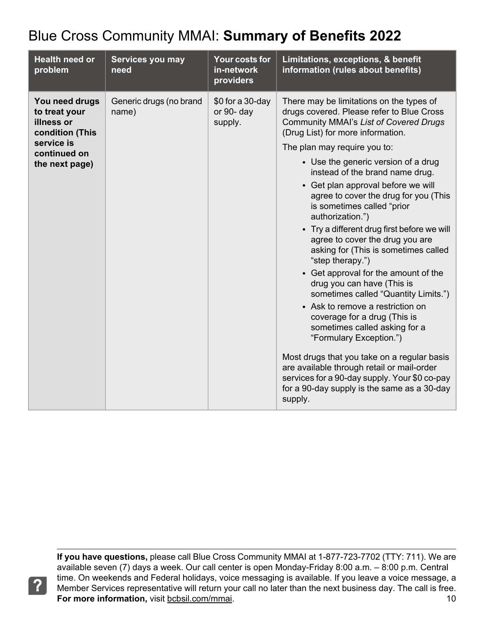| <b>Health need or</b><br>problem                                                               | Services you may<br>need         | Your costs for<br>in-network<br>providers | Limitations, exceptions, & benefit<br>information (rules about benefits)                                                                                                                                                                                                                                                                                                                                                                                                                                                                                                                                                                                                                                                                                                                                    |
|------------------------------------------------------------------------------------------------|----------------------------------|-------------------------------------------|-------------------------------------------------------------------------------------------------------------------------------------------------------------------------------------------------------------------------------------------------------------------------------------------------------------------------------------------------------------------------------------------------------------------------------------------------------------------------------------------------------------------------------------------------------------------------------------------------------------------------------------------------------------------------------------------------------------------------------------------------------------------------------------------------------------|
| You need drugs<br>to treat your<br>illness or<br>condition (This<br>service is<br>continued on | Generic drugs (no brand<br>name) | \$0 for a 30-day<br>or 90- day<br>supply. | There may be limitations on the types of<br>drugs covered. Please refer to Blue Cross<br><b>Community MMAI's List of Covered Drugs</b><br>(Drug List) for more information.<br>The plan may require you to:                                                                                                                                                                                                                                                                                                                                                                                                                                                                                                                                                                                                 |
| the next page)                                                                                 |                                  |                                           | • Use the generic version of a drug<br>instead of the brand name drug.<br>• Get plan approval before we will<br>agree to cover the drug for you (This<br>is sometimes called "prior<br>authorization.")<br>• Try a different drug first before we will<br>agree to cover the drug you are<br>asking for (This is sometimes called<br>"step therapy.")<br>• Get approval for the amount of the<br>drug you can have (This is<br>sometimes called "Quantity Limits.")<br>• Ask to remove a restriction on<br>coverage for a drug (This is<br>sometimes called asking for a<br>"Formulary Exception.")<br>Most drugs that you take on a regular basis<br>are available through retail or mail-order<br>services for a 90-day supply. Your \$0 co-pay<br>for a 90-day supply is the same as a 30-day<br>supply. |

**If you have questions,** please call Blue Cross Community MMAI at 1-877-723-7702 (TTY: 711). We are available seven (7) days a week. Our call center is open Monday-Friday 8:00 a.m. – 8:00 p.m. Central time. On weekends and Federal holidays, voice messaging is available. If you leave a voice message, a Member Services representative will return your call no later than the next business day. The call is free. **For more information,** visit [bcbsil.com/mmai](https://www.bcbsil.com/mmai). 10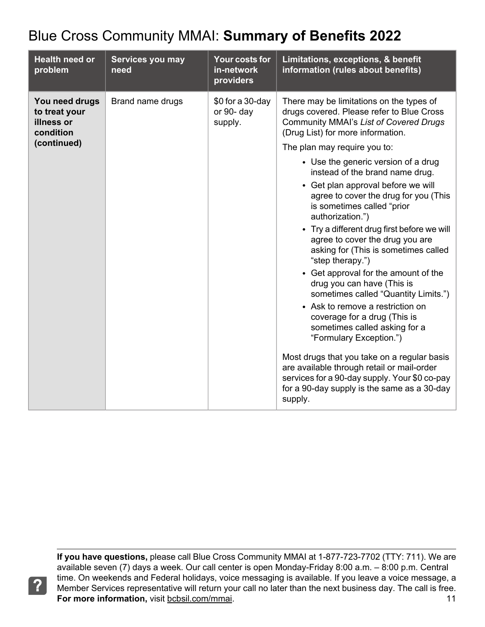| <b>Health need or</b><br>problem                           | Services you may<br>need | Your costs for<br>in-network<br>providers | Limitations, exceptions, & benefit<br>information (rules about benefits)                                                                                                                                                                                                                                                                                                                                                                                                                                                                                                                                                                                                                                                                          |
|------------------------------------------------------------|--------------------------|-------------------------------------------|---------------------------------------------------------------------------------------------------------------------------------------------------------------------------------------------------------------------------------------------------------------------------------------------------------------------------------------------------------------------------------------------------------------------------------------------------------------------------------------------------------------------------------------------------------------------------------------------------------------------------------------------------------------------------------------------------------------------------------------------------|
| You need drugs<br>to treat your<br>illness or<br>condition | Brand name drugs         | \$0 for a 30-day<br>or 90- day<br>supply. | There may be limitations on the types of<br>drugs covered. Please refer to Blue Cross<br>Community MMAI's List of Covered Drugs<br>(Drug List) for more information.                                                                                                                                                                                                                                                                                                                                                                                                                                                                                                                                                                              |
| (continued)                                                |                          |                                           | The plan may require you to:                                                                                                                                                                                                                                                                                                                                                                                                                                                                                                                                                                                                                                                                                                                      |
|                                                            |                          |                                           | • Use the generic version of a drug<br>instead of the brand name drug.<br>• Get plan approval before we will<br>agree to cover the drug for you (This<br>is sometimes called "prior<br>authorization.")<br>• Try a different drug first before we will<br>agree to cover the drug you are<br>asking for (This is sometimes called<br>"step therapy.")<br>• Get approval for the amount of the<br>drug you can have (This is<br>sometimes called "Quantity Limits.")<br>• Ask to remove a restriction on<br>coverage for a drug (This is<br>sometimes called asking for a<br>"Formulary Exception.")<br>Most drugs that you take on a regular basis<br>are available through retail or mail-order<br>services for a 90-day supply. Your \$0 co-pay |
|                                                            |                          |                                           | for a 90-day supply is the same as a 30-day<br>supply.                                                                                                                                                                                                                                                                                                                                                                                                                                                                                                                                                                                                                                                                                            |

**If you have questions,** please call Blue Cross Community MMAI at 1-877-723-7702 (TTY: 711). We are available seven (7) days a week. Our call center is open Monday-Friday 8:00 a.m. – 8:00 p.m. Central time. On weekends and Federal holidays, voice messaging is available. If you leave a voice message, a Member Services representative will return your call no later than the next business day. The call is free. **For more information,** visit [bcbsil.com/mmai](https://www.bcbsil.com/mmai). 11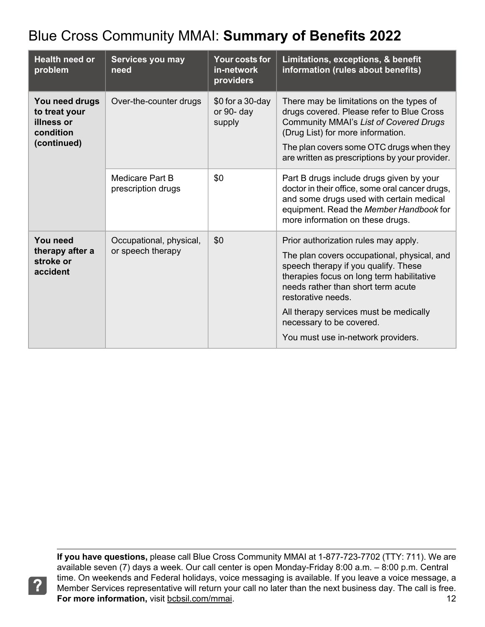| <b>Health need or</b><br>problem                                          | Services you may<br>need                     | Your costs for<br>in-network<br>providers   | Limitations, exceptions, & benefit<br>information (rules about benefits)                                                                                                                                                                                                                                                                         |
|---------------------------------------------------------------------------|----------------------------------------------|---------------------------------------------|--------------------------------------------------------------------------------------------------------------------------------------------------------------------------------------------------------------------------------------------------------------------------------------------------------------------------------------------------|
| You need drugs<br>to treat your<br>illness or<br>condition<br>(continued) | Over-the-counter drugs                       | \$0 for a $30$ -day<br>or 90- day<br>supply | There may be limitations on the types of<br>drugs covered. Please refer to Blue Cross<br><b>Community MMAI's List of Covered Drugs</b><br>(Drug List) for more information.<br>The plan covers some OTC drugs when they<br>are written as prescriptions by your provider.                                                                        |
|                                                                           | Medicare Part B<br>prescription drugs        | \$0                                         | Part B drugs include drugs given by your<br>doctor in their office, some oral cancer drugs,<br>and some drugs used with certain medical<br>equipment. Read the Member Handbook for<br>more information on these drugs.                                                                                                                           |
| You need<br>therapy after a<br>stroke or<br>accident                      | Occupational, physical,<br>or speech therapy | \$0                                         | Prior authorization rules may apply.<br>The plan covers occupational, physical, and<br>speech therapy if you qualify. These<br>therapies focus on long term habilitative<br>needs rather than short term acute<br>restorative needs.<br>All therapy services must be medically<br>necessary to be covered.<br>You must use in-network providers. |

**If you have questions,** please call Blue Cross Community MMAI at 1-877-723-7702 (TTY: 711). We are available seven (7) days a week. Our call center is open Monday-Friday 8:00 a.m. – 8:00 p.m. Central time. On weekends and Federal holidays, voice messaging is available. If you leave a voice message, a Member Services representative will return your call no later than the next business day. The call is free. **For more information,** visit [bcbsil.com/mmai](https://www.bcbsil.com/mmai). 12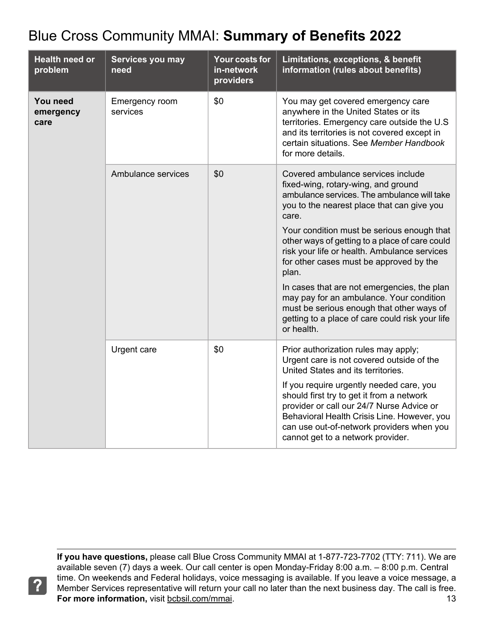| <b>Health need or</b><br>problem | Services you may<br>need   | Your costs for<br>in-network<br>providers | Limitations, exceptions, & benefit<br>information (rules about benefits)                                                                                                                                                                                            |
|----------------------------------|----------------------------|-------------------------------------------|---------------------------------------------------------------------------------------------------------------------------------------------------------------------------------------------------------------------------------------------------------------------|
| You need<br>emergency<br>care    | Emergency room<br>services | \$0                                       | You may get covered emergency care<br>anywhere in the United States or its<br>territories. Emergency care outside the U.S.<br>and its territories is not covered except in<br>certain situations. See Member Handbook<br>for more details.                          |
|                                  | Ambulance services         | \$0                                       | Covered ambulance services include<br>fixed-wing, rotary-wing, and ground<br>ambulance services. The ambulance will take<br>you to the nearest place that can give you<br>care.                                                                                     |
|                                  |                            |                                           | Your condition must be serious enough that<br>other ways of getting to a place of care could<br>risk your life or health. Ambulance services<br>for other cases must be approved by the<br>plan.                                                                    |
|                                  |                            |                                           | In cases that are not emergencies, the plan<br>may pay for an ambulance. Your condition<br>must be serious enough that other ways of<br>getting to a place of care could risk your life<br>or health.                                                               |
|                                  | Urgent care                | \$0                                       | Prior authorization rules may apply;<br>Urgent care is not covered outside of the<br>United States and its territories.                                                                                                                                             |
|                                  |                            |                                           | If you require urgently needed care, you<br>should first try to get it from a network<br>provider or call our 24/7 Nurse Advice or<br>Behavioral Health Crisis Line. However, you<br>can use out-of-network providers when you<br>cannot get to a network provider. |

**If you have questions,** please call Blue Cross Community MMAI at 1-877-723-7702 (TTY: 711). We are available seven (7) days a week. Our call center is open Monday-Friday 8:00 a.m. – 8:00 p.m. Central time. On weekends and Federal holidays, voice messaging is available. If you leave a voice message, a Member Services representative will return your call no later than the next business day. The call is free. **For more information,** visit [bcbsil.com/mmai](https://www.bcbsil.com/mmai). 13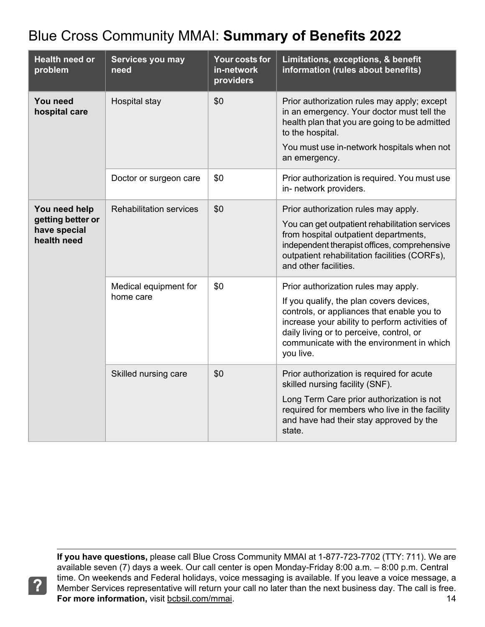| <b>Health need or</b><br>problem                                  | Services you may<br>need           | Your costs for<br>in-network<br>providers | Limitations, exceptions, & benefit<br>information (rules about benefits)                                                                                                                                                                                                               |
|-------------------------------------------------------------------|------------------------------------|-------------------------------------------|----------------------------------------------------------------------------------------------------------------------------------------------------------------------------------------------------------------------------------------------------------------------------------------|
| You need<br>hospital care                                         | Hospital stay                      | \$0                                       | Prior authorization rules may apply; except<br>in an emergency. Your doctor must tell the<br>health plan that you are going to be admitted<br>to the hospital.<br>You must use in-network hospitals when not<br>an emergency.                                                          |
|                                                                   | Doctor or surgeon care             | \$0                                       | Prior authorization is required. You must use<br>in- network providers.                                                                                                                                                                                                                |
| You need help<br>getting better or<br>have special<br>health need | <b>Rehabilitation services</b>     | \$0                                       | Prior authorization rules may apply.<br>You can get outpatient rehabilitation services<br>from hospital outpatient departments,<br>independent therapist offices, comprehensive<br>outpatient rehabilitation facilities (CORFs),<br>and other facilities.                              |
|                                                                   | Medical equipment for<br>home care | \$0                                       | Prior authorization rules may apply.<br>If you qualify, the plan covers devices,<br>controls, or appliances that enable you to<br>increase your ability to perform activities of<br>daily living or to perceive, control, or<br>communicate with the environment in which<br>you live. |
|                                                                   | Skilled nursing care               | \$0                                       | Prior authorization is required for acute<br>skilled nursing facility (SNF).<br>Long Term Care prior authorization is not<br>required for members who live in the facility<br>and have had their stay approved by the<br>state.                                                        |

**If you have questions,** please call Blue Cross Community MMAI at 1-877-723-7702 (TTY: 711). We are available seven (7) days a week. Our call center is open Monday-Friday 8:00 a.m. – 8:00 p.m. Central time. On weekends and Federal holidays, voice messaging is available. If you leave a voice message, a Member Services representative will return your call no later than the next business day. The call is free. **For more information,** visit [bcbsil.com/mmai](https://www.bcbsil.com/mmai). 14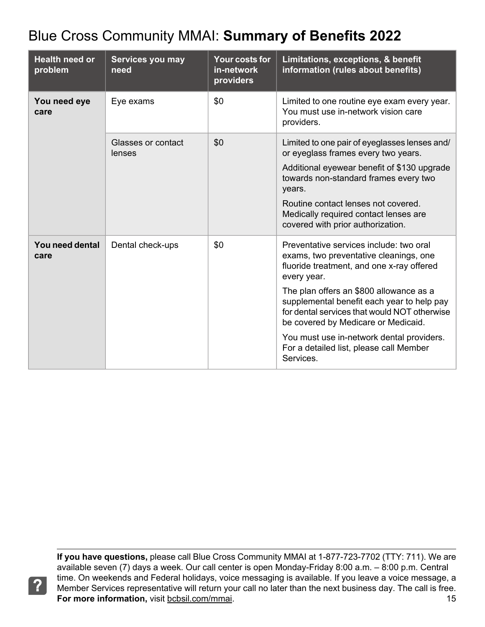| <b>Health need or</b><br>problem | <b>Services you may</b><br>need | Your costs for<br>in-network<br>providers | Limitations, exceptions, & benefit<br>information (rules about benefits)                                                                                                                                                                                                                                                                                                                                                           |
|----------------------------------|---------------------------------|-------------------------------------------|------------------------------------------------------------------------------------------------------------------------------------------------------------------------------------------------------------------------------------------------------------------------------------------------------------------------------------------------------------------------------------------------------------------------------------|
| You need eye<br>care             | Eye exams                       | \$0                                       | Limited to one routine eye exam every year.<br>You must use in-network vision care<br>providers.                                                                                                                                                                                                                                                                                                                                   |
|                                  | Glasses or contact<br>lenses    | \$0                                       | Limited to one pair of eyeglasses lenses and/<br>or eyeglass frames every two years.<br>Additional eyewear benefit of \$130 upgrade<br>towards non-standard frames every two<br>years.<br>Routine contact lenses not covered.<br>Medically required contact lenses are<br>covered with prior authorization.                                                                                                                        |
| You need dental<br>care          | Dental check-ups                | \$0                                       | Preventative services include: two oral<br>exams, two preventative cleanings, one<br>fluoride treatment, and one x-ray offered<br>every year.<br>The plan offers an \$800 allowance as a<br>supplemental benefit each year to help pay<br>for dental services that would NOT otherwise<br>be covered by Medicare or Medicaid.<br>You must use in-network dental providers.<br>For a detailed list, please call Member<br>Services. |

**If you have questions,** please call Blue Cross Community MMAI at 1-877-723-7702 (TTY: 711). We are available seven (7) days a week. Our call center is open Monday-Friday 8:00 a.m. – 8:00 p.m. Central time. On weekends and Federal holidays, voice messaging is available. If you leave a voice message, a Member Services representative will return your call no later than the next business day. The call is free. **For more information,** visit [bcbsil.com/mmai](https://www.bcbsil.com/mmai). 15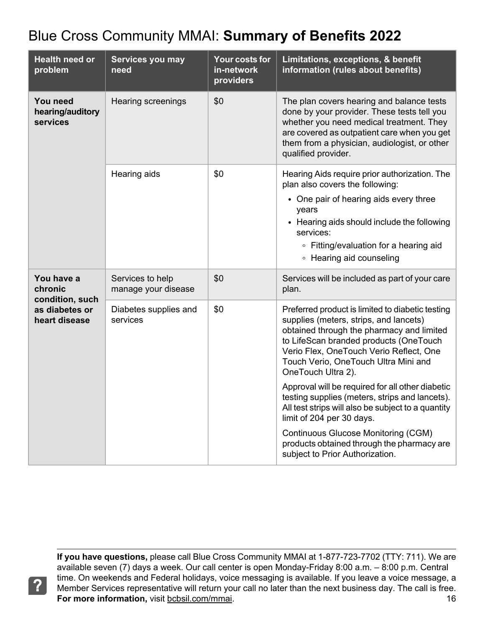| Health need or<br>problem                                                   | Services you may<br>need                | Your costs for<br>in-network<br>providers | Limitations, exceptions, & benefit<br>information (rules about benefits)                                                                                                                                                                                                                   |
|-----------------------------------------------------------------------------|-----------------------------------------|-------------------------------------------|--------------------------------------------------------------------------------------------------------------------------------------------------------------------------------------------------------------------------------------------------------------------------------------------|
| You need<br>hearing/auditory<br>services                                    | Hearing screenings                      | \$0                                       | The plan covers hearing and balance tests<br>done by your provider. These tests tell you<br>whether you need medical treatment. They<br>are covered as outpatient care when you get<br>them from a physician, audiologist, or other<br>qualified provider.                                 |
|                                                                             | Hearing aids                            | \$0                                       | Hearing Aids require prior authorization. The<br>plan also covers the following:<br>• One pair of hearing aids every three<br>years<br>Hearing aids should include the following<br>services:<br>∘ Fitting/evaluation for a hearing aid<br>• Hearing aid counseling                        |
| You have a<br>chronic<br>condition, such<br>as diabetes or<br>heart disease | Services to help<br>manage your disease | \$0                                       | Services will be included as part of your care<br>plan.                                                                                                                                                                                                                                    |
|                                                                             | Diabetes supplies and<br>services       | \$0                                       | Preferred product is limited to diabetic testing<br>supplies (meters, strips, and lancets)<br>obtained through the pharmacy and limited<br>to LifeScan branded products (OneTouch<br>Verio Flex, OneTouch Verio Reflect, One<br>Touch Verio, OneTouch Ultra Mini and<br>OneTouch Ultra 2). |
|                                                                             |                                         |                                           | Approval will be required for all other diabetic<br>testing supplies (meters, strips and lancets).<br>All test strips will also be subject to a quantity<br>limit of 204 per 30 days.                                                                                                      |
|                                                                             |                                         |                                           | Continuous Glucose Monitoring (CGM)<br>products obtained through the pharmacy are<br>subject to Prior Authorization.                                                                                                                                                                       |

**If you have questions,** please call Blue Cross Community MMAI at 1-877-723-7702 (TTY: 711). We are available seven (7) days a week. Our call center is open Monday-Friday 8:00 a.m. – 8:00 p.m. Central time. On weekends and Federal holidays, voice messaging is available. If you leave a voice message, a Member Services representative will return your call no later than the next business day. The call is free. **For more information,** visit [bcbsil.com/mmai](https://www.bcbsil.com/mmai). 16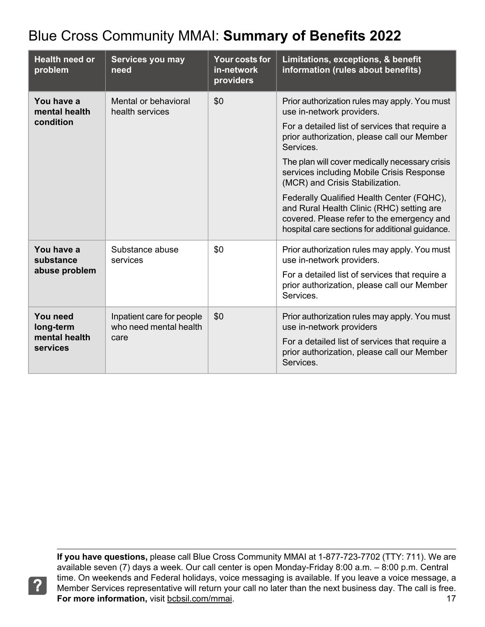| <b>Health need or</b><br>problem                   | Services you may<br>need                                    | <b>Your costs for</b><br>in-network<br>providers | Limitations, exceptions, & benefit<br>information (rules about benefits)                                                                                                                                                                                                                                                                                                                                                                                                                                              |
|----------------------------------------------------|-------------------------------------------------------------|--------------------------------------------------|-----------------------------------------------------------------------------------------------------------------------------------------------------------------------------------------------------------------------------------------------------------------------------------------------------------------------------------------------------------------------------------------------------------------------------------------------------------------------------------------------------------------------|
| You have a<br>mental health<br>condition           | Mental or behavioral<br>health services                     | \$0                                              | Prior authorization rules may apply. You must<br>use in-network providers.<br>For a detailed list of services that require a<br>prior authorization, please call our Member<br>Services.<br>The plan will cover medically necessary crisis<br>services including Mobile Crisis Response<br>(MCR) and Crisis Stabilization.<br>Federally Qualified Health Center (FQHC),<br>and Rural Health Clinic (RHC) setting are<br>covered. Please refer to the emergency and<br>hospital care sections for additional guidance. |
| You have a<br>substance<br>abuse problem           | Substance abuse<br>services                                 | \$0                                              | Prior authorization rules may apply. You must<br>use in-network providers.<br>For a detailed list of services that require a<br>prior authorization, please call our Member<br>Services.                                                                                                                                                                                                                                                                                                                              |
| You need<br>long-term<br>mental health<br>services | Inpatient care for people<br>who need mental health<br>care | \$0                                              | Prior authorization rules may apply. You must<br>use in-network providers<br>For a detailed list of services that require a<br>prior authorization, please call our Member<br>Services.                                                                                                                                                                                                                                                                                                                               |

**If you have questions,** please call Blue Cross Community MMAI at 1-877-723-7702 (TTY: 711). We are available seven (7) days a week. Our call center is open Monday-Friday 8:00 a.m. – 8:00 p.m. Central time. On weekends and Federal holidays, voice messaging is available. If you leave a voice message, a Member Services representative will return your call no later than the next business day. The call is free. **For more information,** visit [bcbsil.com/mmai](https://www.bcbsil.com/mmai). 17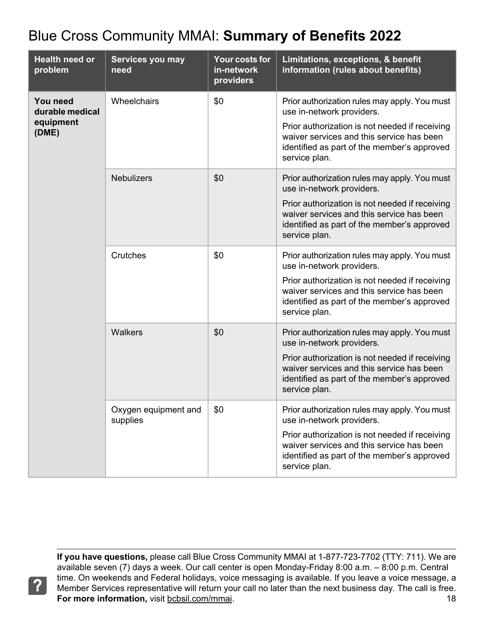| <b>Health need or</b><br>problem | Services you may<br>need         | Your costs for<br>in-network<br>providers | Limitations, exceptions, & benefit<br>information (rules about benefits)                                                                                    |
|----------------------------------|----------------------------------|-------------------------------------------|-------------------------------------------------------------------------------------------------------------------------------------------------------------|
| You need<br>durable medical      | Wheelchairs                      | \$0                                       | Prior authorization rules may apply. You must<br>use in-network providers.                                                                                  |
| equipment<br>(DME)               |                                  |                                           | Prior authorization is not needed if receiving<br>waiver services and this service has been<br>identified as part of the member's approved<br>service plan. |
|                                  | <b>Nebulizers</b>                | \$0                                       | Prior authorization rules may apply. You must<br>use in-network providers.                                                                                  |
|                                  |                                  |                                           | Prior authorization is not needed if receiving<br>waiver services and this service has been<br>identified as part of the member's approved<br>service plan. |
|                                  | Crutches                         | \$0                                       | Prior authorization rules may apply. You must<br>use in-network providers.                                                                                  |
|                                  |                                  |                                           | Prior authorization is not needed if receiving<br>waiver services and this service has been<br>identified as part of the member's approved<br>service plan. |
|                                  | Walkers                          | \$0                                       | Prior authorization rules may apply. You must<br>use in-network providers.                                                                                  |
|                                  |                                  |                                           | Prior authorization is not needed if receiving<br>waiver services and this service has been<br>identified as part of the member's approved<br>service plan. |
|                                  | Oxygen equipment and<br>supplies | \$0                                       | Prior authorization rules may apply. You must<br>use in-network providers.                                                                                  |
|                                  |                                  |                                           | Prior authorization is not needed if receiving<br>waiver services and this service has been<br>identified as part of the member's approved<br>service plan. |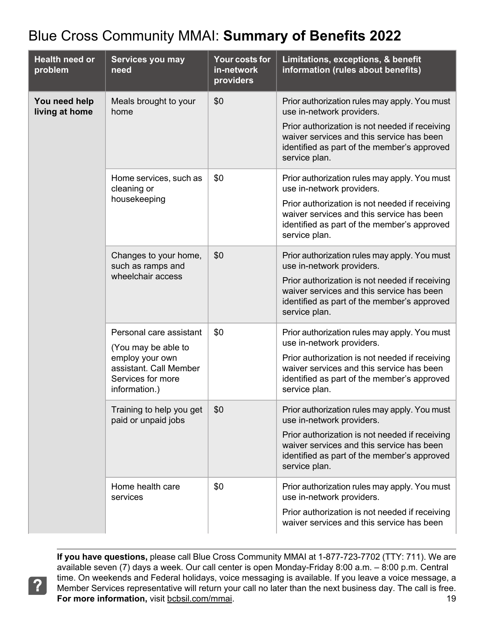| <b>Health need or</b><br>problem | Services you may<br>need                                                                                                          | Your costs for<br>in-network<br>providers | Limitations, exceptions, & benefit<br>information (rules about benefits)                                                                                                                                                                  |
|----------------------------------|-----------------------------------------------------------------------------------------------------------------------------------|-------------------------------------------|-------------------------------------------------------------------------------------------------------------------------------------------------------------------------------------------------------------------------------------------|
| You need help<br>living at home  | Meals brought to your<br>home                                                                                                     | \$0                                       | Prior authorization rules may apply. You must<br>use in-network providers.<br>Prior authorization is not needed if receiving<br>waiver services and this service has been<br>identified as part of the member's approved<br>service plan. |
|                                  | Home services, such as<br>cleaning or<br>housekeeping                                                                             | \$0                                       | Prior authorization rules may apply. You must<br>use in-network providers.<br>Prior authorization is not needed if receiving<br>waiver services and this service has been<br>identified as part of the member's approved<br>service plan. |
|                                  | Changes to your home,<br>such as ramps and<br>wheelchair access                                                                   | \$0                                       | Prior authorization rules may apply. You must<br>use in-network providers.<br>Prior authorization is not needed if receiving<br>waiver services and this service has been<br>identified as part of the member's approved<br>service plan. |
|                                  | Personal care assistant<br>(You may be able to<br>employ your own<br>assistant. Call Member<br>Services for more<br>information.) | \$0                                       | Prior authorization rules may apply. You must<br>use in-network providers.<br>Prior authorization is not needed if receiving<br>waiver services and this service has been<br>identified as part of the member's approved<br>service plan. |
|                                  | Training to help you get<br>paid or unpaid jobs                                                                                   | \$0                                       | Prior authorization rules may apply. You must<br>use in-network providers.<br>Prior authorization is not needed if receiving<br>waiver services and this service has been<br>identified as part of the member's approved<br>service plan. |
|                                  | Home health care<br>services                                                                                                      | \$0                                       | Prior authorization rules may apply. You must<br>use in-network providers.<br>Prior authorization is not needed if receiving<br>waiver services and this service has been                                                                 |

**If you have questions,** please call Blue Cross Community MMAI at 1-877-723-7702 (TTY: 711). We are available seven (7) days a week. Our call center is open Monday-Friday 8:00 a.m. – 8:00 p.m. Central time. On weekends and Federal holidays, voice messaging is available. If you leave a voice message, a Member Services representative will return your call no later than the next business day. The call is free. **For more information,** visit [bcbsil.com/mmai](https://www.bcbsil.com/mmai). 19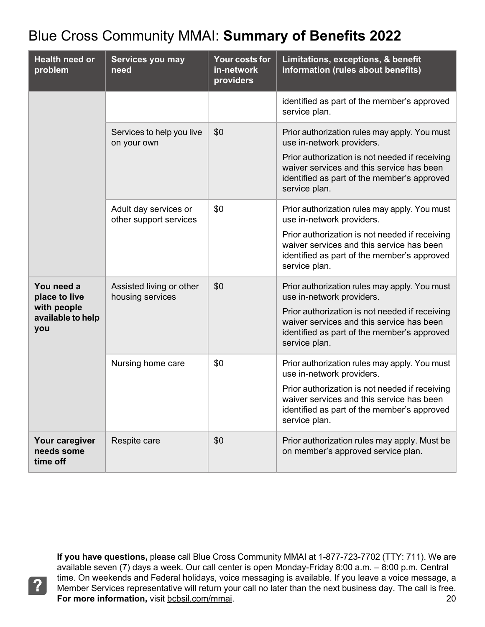| <b>Health need or</b><br>problem                                       | Services you may<br>need                        | Your costs for<br>in-network<br>providers | Limitations, exceptions, & benefit<br>information (rules about benefits)                                                                                                                                                                  |
|------------------------------------------------------------------------|-------------------------------------------------|-------------------------------------------|-------------------------------------------------------------------------------------------------------------------------------------------------------------------------------------------------------------------------------------------|
|                                                                        |                                                 |                                           | identified as part of the member's approved<br>service plan.                                                                                                                                                                              |
|                                                                        | Services to help you live<br>on your own        | \$0                                       | Prior authorization rules may apply. You must<br>use in-network providers.                                                                                                                                                                |
|                                                                        |                                                 |                                           | Prior authorization is not needed if receiving<br>waiver services and this service has been<br>identified as part of the member's approved<br>service plan.                                                                               |
|                                                                        | Adult day services or<br>other support services | \$0                                       | Prior authorization rules may apply. You must<br>use in-network providers.<br>Prior authorization is not needed if receiving<br>waiver services and this service has been<br>identified as part of the member's approved<br>service plan. |
| You need a<br>place to live<br>with people<br>available to help<br>you | Assisted living or other<br>housing services    | \$0                                       | Prior authorization rules may apply. You must<br>use in-network providers.<br>Prior authorization is not needed if receiving<br>waiver services and this service has been<br>identified as part of the member's approved<br>service plan. |
|                                                                        | Nursing home care                               | \$0                                       | Prior authorization rules may apply. You must<br>use in-network providers.<br>Prior authorization is not needed if receiving<br>waiver services and this service has been<br>identified as part of the member's approved<br>service plan. |
| Your caregiver<br>needs some<br>time off                               | Respite care                                    | \$0                                       | Prior authorization rules may apply. Must be<br>on member's approved service plan.                                                                                                                                                        |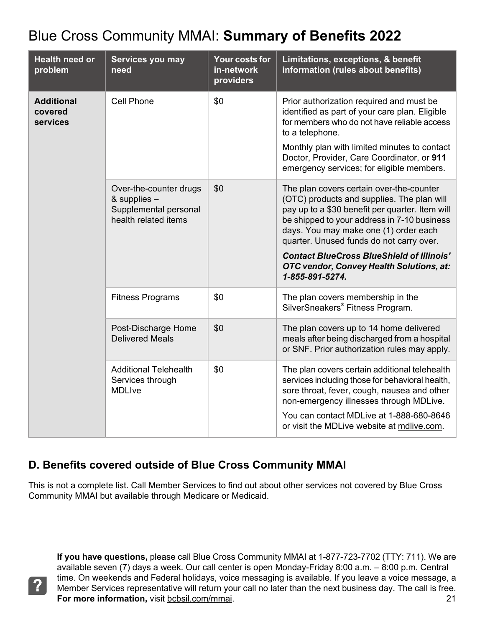| <b>Health need or</b><br>problem         | Services you may<br>need                                                                  | Your costs for<br>in-network<br>providers | Limitations, exceptions, & benefit<br>information (rules about benefits)                                                                                                                                                                                                                                                                                                                                |
|------------------------------------------|-------------------------------------------------------------------------------------------|-------------------------------------------|---------------------------------------------------------------------------------------------------------------------------------------------------------------------------------------------------------------------------------------------------------------------------------------------------------------------------------------------------------------------------------------------------------|
| <b>Additional</b><br>covered<br>services | <b>Cell Phone</b>                                                                         | \$0                                       | Prior authorization required and must be<br>identified as part of your care plan. Eligible<br>for members who do not have reliable access<br>to a telephone.<br>Monthly plan with limited minutes to contact<br>Doctor, Provider, Care Coordinator, or 911<br>emergency services; for eligible members.                                                                                                 |
|                                          | Over-the-counter drugs<br>& supplies $-$<br>Supplemental personal<br>health related items | \$0                                       | The plan covers certain over-the-counter<br>(OTC) products and supplies. The plan will<br>pay up to a \$30 benefit per quarter. Item will<br>be shipped to your address in 7-10 business<br>days. You may make one (1) order each<br>quarter. Unused funds do not carry over.<br><b>Contact BlueCross BlueShield of Illinois'</b><br><b>OTC vendor, Convey Health Solutions, at:</b><br>1-855-891-5274. |
|                                          | <b>Fitness Programs</b>                                                                   | \$0                                       | The plan covers membership in the<br>SilverSneakers® Fitness Program.                                                                                                                                                                                                                                                                                                                                   |
|                                          | Post-Discharge Home<br><b>Delivered Meals</b>                                             | \$0                                       | The plan covers up to 14 home delivered<br>meals after being discharged from a hospital<br>or SNF. Prior authorization rules may apply.                                                                                                                                                                                                                                                                 |
|                                          | <b>Additional Telehealth</b><br>Services through<br><b>MDLIve</b>                         | \$0                                       | The plan covers certain additional telehealth<br>services including those for behavioral health,<br>sore throat, fever, cough, nausea and other<br>non-emergency illnesses through MDLive.<br>You can contact MDLive at 1-888-680-8646<br>or visit the MDLive website at mdlive.com.                                                                                                                    |

#### <span id="page-20-0"></span>**D. Benefits covered outside of Blue Cross Community MMAI**

This is not a complete list. Call Member Services to find out about other services not covered by Blue Cross Community MMAI but available through Medicare or Medicaid.

?

**If you have questions,** please call Blue Cross Community MMAI at 1-877-723-7702 (TTY: 711). We are available seven (7) days a week. Our call center is open Monday-Friday 8:00 a.m. – 8:00 p.m. Central time. On weekends and Federal holidays, voice messaging is available. If you leave a voice message, a Member Services representative will return your call no later than the next business day. The call is free. **For more information,** visit [bcbsil.com/mmai](https://www.bcbsil.com/mmai). 21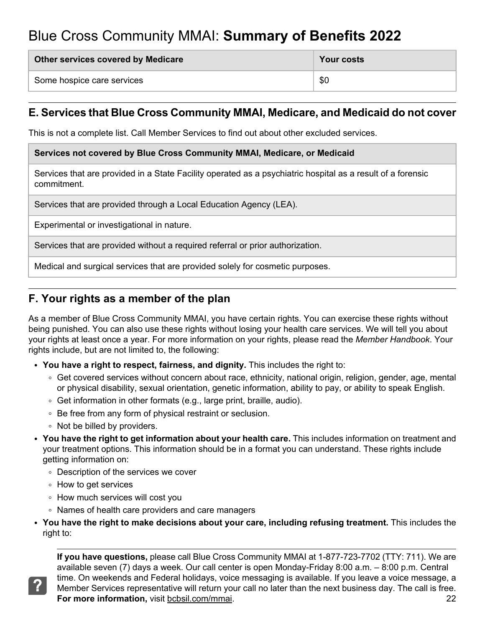| Other services covered by Medicare | Your costs |
|------------------------------------|------------|
| Some hospice care services         | \$0        |

#### <span id="page-21-0"></span>**E. Services that Blue Cross Community MMAI, Medicare, and Medicaid do not cover**

This is not a complete list. Call Member Services to find out about other excluded services.

#### **Services not covered by Blue Cross Community MMAI, Medicare, or Medicaid**

Services that are provided in a State Facility operated as a psychiatric hospital as a result of a forensic commitment.

Services that are provided through a Local Education Agency (LEA).

Experimental or investigational in nature.

Services that are provided without a required referral or prior authorization.

<span id="page-21-1"></span>Medical and surgical services that are provided solely for cosmetic purposes.

#### **F. Your rights as a member of the plan**

As a member of Blue Cross Community MMAI, you have certain rights. You can exercise these rights without being punished. You can also use these rights without losing your health care services. We will tell you about your rights at least once a year. For more information on your rights, please read the *Member Handbook*. Your rights include, but are not limited to, the following:

- **You have a right to respect, fairness, and dignity.** This includes the right to:
	- ∘ Get covered services without concern about race, ethnicity, national origin, religion, gender, age, mental or physical disability, sexual orientation, genetic information, ability to pay, or ability to speak English.
	- $\circ$  Get information in other formats (e.g., large print, braille, audio).
	- Be free from any form of physical restraint or seclusion.
	- Not be billed by providers.
- **You have the right to get information about your health care.** This includes information on treatment and your treatment options. This information should be in a format you can understand. These rights include getting information on:
	- Description of the services we cover
	- How to get services
	- How much services will cost you
	- Names of health care providers and care managers
- **You have the right to make decisions about your care, including refusing treatment.** This includes the right to:

**If you have questions,** please call Blue Cross Community MMAI at 1-877-723-7702 (TTY: 711). We are available seven (7) days a week. Our call center is open Monday-Friday 8:00 a.m. – 8:00 p.m. Central time. On weekends and Federal holidays, voice messaging is available. If you leave a voice message, a Member Services representative will return your call no later than the next business day. The call is free. **For more information,** visit [bcbsil.com/mmai](https://www.bcbsil.com/mmai). 22

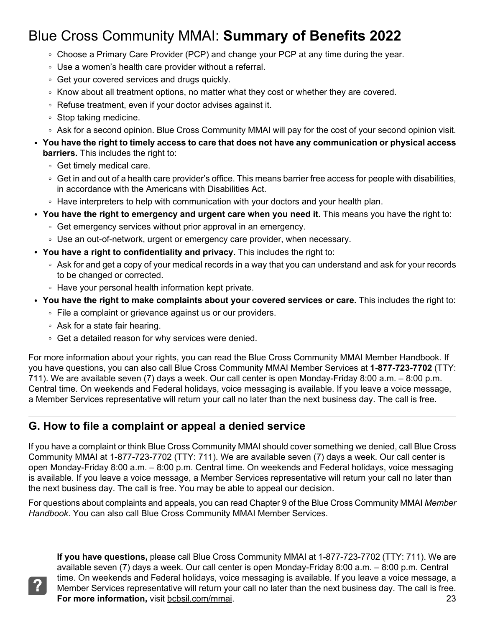- Choose a Primary Care Provider (PCP) and change your PCP at any time during the year.
- Use a women's health care provider without a referral.
- Get your covered services and drugs quickly.
- $\circ$  Know about all treatment options, no matter what they cost or whether they are covered.
- Refuse treatment, even if your doctor advises against it.
- Stop taking medicine.
- Ask for a second opinion. Blue Cross Community MMAI will pay for the cost of your second opinion visit.
- You have the right to timely access to care that does not have any communication or physical access **barriers.** This includes the right to:
	- Get timely medical care.
	- ∘ Get in and out of a health care provider's office. This means barrier free access for people with disabilities, in accordance with the Americans with Disabilities Act.
	- $\circ$  Have interpreters to help with communication with your doctors and your health plan.
- **You have the right to emergency and urgent care when you need it.** This means you have the right to:
	- Get emergency services without prior approval in an emergency.
	- Use an out-of-network, urgent or emergency care provider, when necessary.
- **You have a right to confidentiality and privacy.** This includes the right to:
	- Ask for and get a copy of your medical records in a way that you can understand and ask for your records to be changed or corrected.
	- Have your personal health information kept private.
- **You have the right to make complaints about your covered services or care.** This includes the right to:
	- File a complaint or grievance against us or our providers.
	- Ask for a state fair hearing.
	- Get a detailed reason for why services were denied.

<span id="page-22-0"></span>For more information about your rights, you can read the Blue Cross Community MMAI Member Handbook. If you have questions, you can also call Blue Cross Community MMAI Member Services at **1-877-723-7702** (TTY: 711). We are available seven (7) days a week. Our call center is open Monday-Friday 8:00 a.m. – 8:00 p.m. Central time. On weekends and Federal holidays, voice messaging is available. If you leave a voice message, a Member Services representative will return your call no later than the next business day. The call is free.

#### **G. How to file a complaint or appeal a denied service**

If you have a complaint or think Blue Cross Community MMAI should cover something we denied, call Blue Cross Community MMAI at 1-877-723-7702 (TTY: 711). We are available seven (7) days a week. Our call center is open Monday-Friday 8:00 a.m. – 8:00 p.m. Central time. On weekends and Federal holidays, voice messaging is available. If you leave a voice message, a Member Services representative will return your call no later than the next business day. The call is free. You may be able to appeal our decision.

For questions about complaints and appeals, you can read Chapter 9 of the Blue Cross Community MMAI *Member Handbook*. You can also call Blue Cross Community MMAI Member Services.

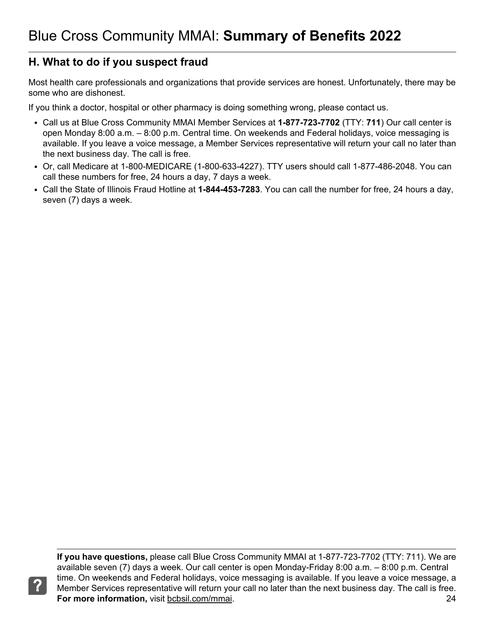#### <span id="page-23-0"></span>**H. What to do if you suspect fraud**

?

Most health care professionals and organizations that provide services are honest. Unfortunately, there may be some who are dishonest.

If you think a doctor, hospital or other pharmacy is doing something wrong, please contact us.

- Call us at Blue Cross Community MMAI Member Services at **1-877-723-7702** (TTY: **711**) Our call center is open Monday 8:00 a.m. – 8:00 p.m. Central time. On weekends and Federal holidays, voice messaging is available. If you leave a voice message, a Member Services representative will return your call no later than the next business day. The call is free.
- Or, call Medicare at 1-800-MEDICARE (1-800-633-4227). TTY users should call 1-877-486-2048. You can call these numbers for free, 24 hours a day, 7 days a week.
- Call the State of Illinois Fraud Hotline at **1-844-453-7283**. You can call the number for free, 24 hours a day, seven (7) days a week.

**If you have questions,** please call Blue Cross Community MMAI at 1-877-723-7702 (TTY: 711). We are available seven (7) days a week. Our call center is open Monday-Friday 8:00 a.m. – 8:00 p.m. Central time. On weekends and Federal holidays, voice messaging is available. If you leave a voice message, a Member Services representative will return your call no later than the next business day. The call is free. **For more information,** visit [bcbsil.com/mmai](https://www.bcbsil.com/mmai). 24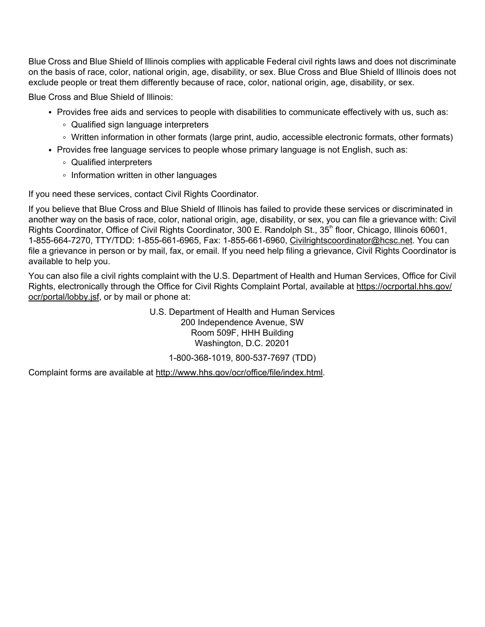Blue Cross and Blue Shield of Illinois complies with applicable Federal civil rights laws and does not discriminate on the basis of race, color, national origin, age, disability, or sex. Blue Cross and Blue Shield of Illinois does not exclude people or treat them differently because of race, color, national origin, age, disability, or sex.

Blue Cross and Blue Shield of Illinois:

- Provides free aids and services to people with disabilities to communicate effectively with us, such as:
	- Qualified sign language interpreters
	- Written information in other formats (large print, audio, accessible electronic formats, other formats)
- Provides free language services to people whose primary language is not English, such as:
	- Qualified interpreters
	- Information written in other languages

If you need these services, contact Civil Rights Coordinator.

If you believe that Blue Cross and Blue Shield of Illinois has failed to provide these services or discriminated in another way on the basis of race, color, national origin, age, disability, or sex, you can file a grievance with: Civil Rights Coordinator, Office of Civil Rights Coordinator, 300 E. Randolph St., 35<sup>th</sup> floor, Chicago, Illinois 60601, 1-855-664-7270, TTY/TDD: 1-855-661-6965, Fax: 1-855-661-6960, [Civilrightscoordinator@hcsc.net.](mailto:Civilrightscoordinator@hcsc.net) You can file a grievance in person or by mail, fax, or email. If you need help filing a grievance, Civil Rights Coordinator is available to help you.

You can also file a civil rights complaint with the U.S. Department of Health and Human Services, Office for Civil Rights, electronically through the Office for Civil Rights Complaint Portal, available at [https://ocrportal.hhs.gov/](https://ocrportal.hhs.gov/ocr/portal/lobby.jsf)  [ocr/portal/lobby.jsf](https://ocrportal.hhs.gov/ocr/portal/lobby.jsf), or by mail or phone at:

> U.S. Department of Health and Human Services 200 Independence Avenue, SW Room 509F, HHH Building Washington, D.C. 20201

1-800-368-1019, 800-537-7697 (TDD)

Complaint forms are available at <http://www.hhs.gov/ocr/office/file/index.html>.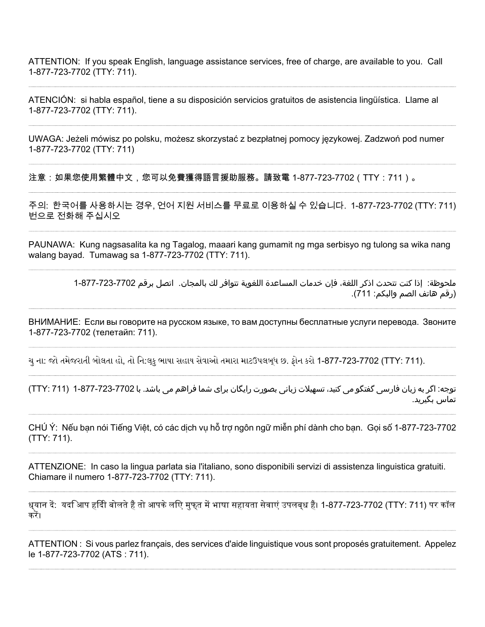ATTENTION: If you speak English, language assistance services, free of charge, are available to you. Call 1-877-723-7702 (TTY: 711).

ATENCIÓN: si habla español, tiene a su disposición servicios gratuitos de asistencia lingüística. Llame al 1-877-723-7702 (TTY: 711).

UWAGA: Jeżeli mówisz po polsku, możesz skorzystać z bezpłatnej pomocy językowej. Zadzwoń pod numer 1-877-723-7702 (TTY: 711)

注意:如果您使用繁體中文,您可以免費獲得語言援助服務。請致電 1-877-723-7702(TTY:711)。

주의: 한국어를 사용하시는 경우, 언어 지원 서비스를 무료로 이용하실 수 있습니다. 1-877-723-7702 (TTY: 711) 번으로 전화해 주십시오

PAUNAWA: Kung nagsasalita ka ng Tagalog, maaari kang gumamit ng mga serbisyo ng tulong sa wika nang walang bayad. Tumawag sa 1-877-723-7702 (TTY: 711).

> ملحوظة: إذا كنت تتحدث اذكر اللغة، فإن خدمات المساعدة اللغوية تتوافر لك بالمجان. اتصل برقم 1-877-723-7702 (رقم هاتف الصم والبكم: 711).

ВНИМАНИЕ: Если вы говорите на русском языке, то вам доступны бесплатные услуги перевода. Звоните 1-877-723-7702 (телетайп: 711).

ચુના: જો તમેજરાતી બોલતા હો, તો િન:લ્કુભાષા સહાય સેવાઓ તમારા માટઉપલબ્ધ છ. ફોન કરો 1-877-723-7702 (TTY: 711).

 توجه: اگر به زبان فارسی گفتگو می کنید، تسهیالت زبانی بصورت رایگان برای شما فراهم می باشد. با 1-877-723-7702 (711 :TTY( تماس بگیرید.

CHÚ Ý: Nếu bạn nói Tiếng Việt, có các dịch vụ hỗ trợ ngôn ngữ miễn phí dành cho bạn. Gọi số 1-877-723-7702 (TTY: 711).

ATTENZIONE: In caso la lingua parlata sia l'italiano, sono disponibili servizi di assistenza linguistica gratuiti. Chiamare il numero 1-877-723-7702 (TTY: 711).

ध्यान दें: यदि आप हिंदी बोलतेहैं तो आपकेलिए मुफ्त मेंभाषा सहायता सेवाएंउपलब्ध हैं। 1-877-723-7702 (TTY: 711) पर कॉल करें।

ATTENTION : Si vous parlez français, des services d'aide linguistique vous sont proposés gratuitement. Appelez le 1-877-723-7702 (ATS : 711).